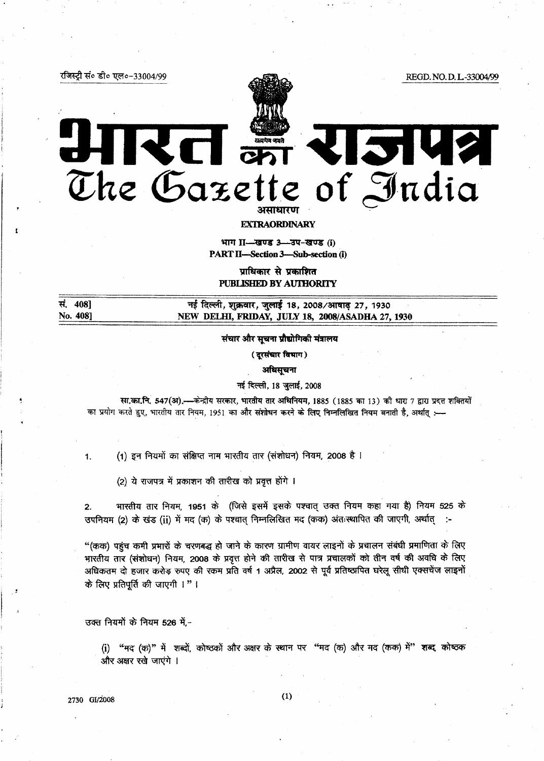REGD. NO. D. L-33004/99



# RCI ani राजपत्र The Gazette of India

**EXTRAORDINARY** 

भाग II-खण्ड 3-उप-खण्ड (i) **PART II-Section 3-Sub-section (i)** 

प्राधिकार से प्रकाशित PUBLISHED BY AUTHORITY

सं. 408] नई दिल्ली, शुक्रवार, जुलाई 18, 2008/आषाढ़ 27, 1930 No. 408] NEW DELHI, FRIDAY, JULY 18, 2008/ASADHA 27, 1930

## संचार और सूचना प्रौद्योगिकी मंत्रालय

( दूरसंचार विभाग)

अधिसूचना

#### नई दिल्ली, 18 जुलाई, 2008

सा.का.नि. 547(अ).—केन्द्रीय सरकार, भारतीय तार अधिनियम, 1885 (1885 का 13) की धारा 7 द्वारा प्रदत्त शक्तियों --- का प्रयोग करते हुए, भारतीय तार नियम, 1951 का और संशोधन करने के लिए निम्नलिखित नियम बनाती है, अर्थात्

(1) इन नियमों का संक्षिप्त नाम भारतीय तार (संशोधन) नियम, 2008 है ।

(2) ये राजपत्र में प्रकाशन की तारीख को प्रवृत्त होंगे ।

भारतीय तार नियम, 1951 के (जिसे इसमें इसके पश्चात् उक्त नियम कहा गया है) नियम 525 के  $2.$ उपनियम (2) के खंड (ii) में मद (क) के पश्चात निम्नलिखित मद (कक) अंतःस्थापित की जाएगी, अर्थात् :-

"(कक) पहुंच कमी प्रभारों के चरणबद्ध हो जाने के कारण ग्रामीण वायर लाइनों के प्रचालन संबंधी प्रमाणिता के लिए भारतीय तार (संशोधन) नियम, 2008 के प्रवृत्त होने की तारीख से पात्र प्रचालकों को तीन वर्ष की अवधि के लिए अधिकतम दो हजार करोड़ रुपए की रकम प्रति वर्ष 1 अप्रैल, 2002 से पूर्व प्रतिष्ठापित घरेलू सीधी एक्सचेंज लाइनों के लिए प्रतिपूर्ति की जाएगी ।" |

उक्त नियमों के नियम 526 में,-

रजिस्ट्री सं० डी० एल०-33004/99

(i) "मद (क)" में शब्दों, कोष्ठकों और अक्षर के स्थान पर "मद (क) और मद (कक) में" शब्द कोष्ठक और अक्षर रखे जाएंगे ।

2730 GI/2008

 $1.$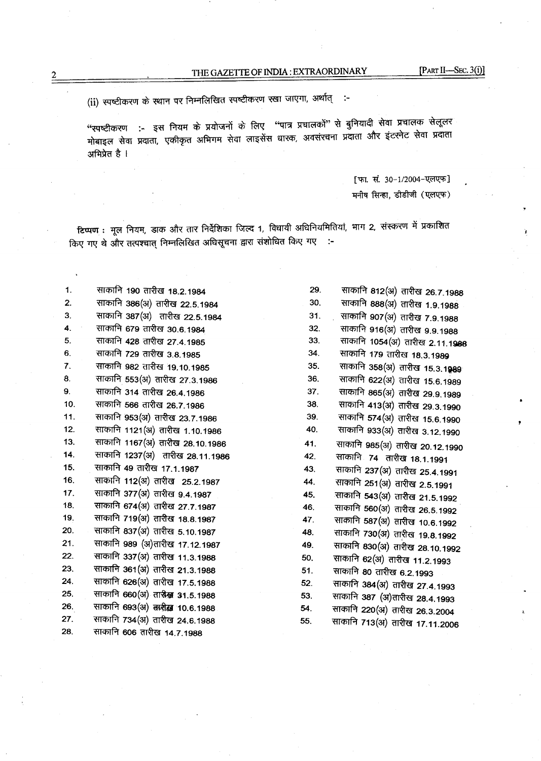(ii) स्पष्टीकरण के स्थान पर निम्नलिखित स्पष्टीकरण रखा जाएगा, अर्थात् :-

"स्पष्टीकरण :- इस नियम के प्रयोजनों के लिए "पात्र प्रचालकों" से बुनियादी सेवा प्रचालक सेलूलर मोबाइल सेवा प्रदाता, एकीकृत अभिगम सेवा लाइसेंस घारक, अवसंरचना प्रदाता और इंटरनेट सेवा प्रदाता अभिप्रेत है ।

> [फा. सं. 30-1/2004-एलएफ] मनीष सिन्हा, डीडीजी (एलएफ)

टिप्पण : मूल नियम, डाक और तार निर्देशिका जिल्द 1, विधायी अधिनियमितियां, भाग 2, संस्करण में प्रकाशित किए गए थे और तत्पश्चात् निम्नलिखित अधिसूचना द्वारा संशोधित किए गए :-

साकानि 190 तारीख 18.2.1984  $\mathbf 1$ .  $\overline{2}$ . साकानि 386(अ) तारीख 22.5.1984 साकानि 387(अ) तारीख 22.5.1984  $\overline{3}$ . साकानि 679 तारीख 30.6.1984 4. साकानि 428 तारीख 27.4.1985 5. साकानि 729 तारीख 3.8.1985 6.  $\overline{7}$ . साकानि 982 तारीख 19.10.1985 साकानि 553(अ) तारीख 27.3.1986 8. 9. साकानि 314 तारीख 26.4.1986  $10.$ साकानि 566 तारीख 26.7.1986 साकानि 953(अ) तारीख 23.7.1986  $11.$ साकानि 1121(अ) तारीख 1.10.1986  $12.$ 13. साकानि 1167(अ) तारीख 28.10.1986 साकानि 1237(अ) तारीख 28.11.1986  $14.$ 15. साकानि 49 तारीख 17.1.1987 साकानि 112(अ) तारीख 25.2.1987 16. साकानि 377(अ) तारीख 9.4.1987  $17.$ 18. साकानि 674(अ) तारीख 27.7.1987 19. साकानि 719(अ) तारीख 18.8.1987 20. साकानि 837(अ) तारीख 5.10.1987  $21.$ साकानि 989 (अ)तारीख 17.12.1987  $22.$ साकानि 337(अ) तारीख 11.3.1988 23. साकानि 361(अ) तारीख 21.3.1988 24. साकानि 626(अ) तारीख 17.5.1988 25. साकानि 660(अ) ताल्लेख 31.5.1988 26. साकानि 693(अ) तारीख़ 10.6.1988 27. साकानि 734(अ) तारीख 24.6.1988 साकानि 606 तारीख 14.7.1988 28.

| 29. | साकानि 812(अ) तारीख 26.7.1988          |
|-----|----------------------------------------|
| 30. | साकानि 888(अ) तारीख 1.9.1988           |
| 31. | साकानि 907(अ) तारीख 7.9.1988           |
| 32. | साकानि 916(अ) तारीख 9.9.1988           |
| 33. | साकानि 1054(अ) तारीख 2.11.1988         |
| 34. | साकानि 179 तारीख 18.3.1989             |
| 35. | साकानि 358(अ) तारीख 15.3.1 <b>98</b> 9 |
| 36. | साकानि 622(अ) तारीख 15.6.1989          |
| 37. | साकानि 865(अ) तारीख 29.9.1989          |
| 38. | साकानि 413(अ) तारीख 29.3.1990          |
| 39. | साकानि 574(अ) तारीख 15.6.1990          |
| 40. | साकानि 933(अ) तारीख 3.12.1990          |
| 41. | साकानि 985(अ) तारीख 20.12.1990         |
| 42. | साकानि 74 तारीख 18.1.1991              |
| 43. | साकानि 237(अ) तारीख 25.4.1991          |
| 44. | साकानि 251(अ) तारीख 2.5.1991           |
| 45. | साकानि 543(अ) तारीख 21.5.1992          |
| 46. | साकानि 560(अ) तारीख 26.5.1992          |
| 47. | साकानि 587(अ) तारीख 10.6.1992          |
| 48. | साकानि 730(अ) तारीख 19.8.1992          |
| 49. | साकानि 830(अ) तारीख 28.10.1992         |
| 50. | साकानि 62(अ) तारीख 11.2.1993           |
| 51. | साकानि 80 तारीख 6.2.1993               |
| 52. | साकानि 384(अ) तारीख 27.4.1993          |
| 53. | साकानि 387 (अ)तारीख 28.4.1993          |
| 54. | साकानि 220(अ) तारीख 26.3.2004          |
| 55. | साकानि 713(अ) तारीख 17.11.2006         |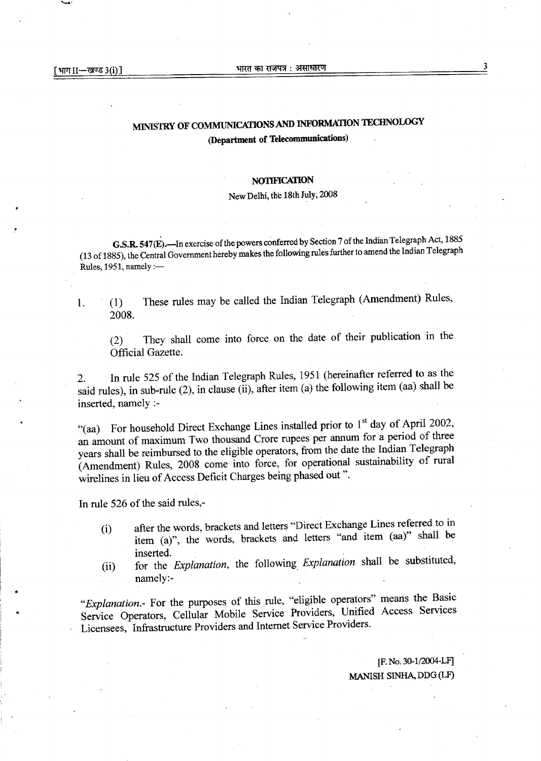1.

## MINISTRY OF COMMUNICATIONS AND INFORMATION TECHNOLOGY (Department of Telecommunications)

## **NOTIFICATION**

## New Delhi, the 18th July, 2008

G.S.R. 547(E).—In exercise of the powers conferred by Section 7 of the Indian Telegraph Act, 1885 (13 of 1885), the Central Government hereby makes the following rules further to amend the Indian Telegraph Rules, 1951, namely : $-$ 

These rules may be called the Indian Telegraph (Amendment) Rules,  $(1)$ 2008.

They shall come into force on the date of their publication in the  $(2)$ Official Gazette.

In rule 525 of the Indian Telegraph Rules, 1951 (hereinafter referred to as the  $2.$ said rules), in sub-rule (2), in clause (ii), after item (a) the following item (aa) shall be inserted, namely :-

"(aa) For household Direct Exchange Lines installed prior to 1<sup>st</sup> day of April 2002, an amount of maximum Two thousand Crore rupees per annum for a period of three years shall be reimbursed to the eligible operators, from the date the Indian Telegraph (Amendment) Rules, 2008 come into force, for operational sustainability of rural wirelines in lieu of Access Deficit Charges being phased out".

In rule 526 of the said rules,-

- after the words, brackets and letters "Direct Exchange Lines referred to in  $(i)$ item (a)", the words, brackets and letters "and item (aa)" shall be inserted.
- for the Explanation, the following Explanation shall be substituted,  $(ii)$ namely:-

"Explanation.- For the purposes of this rule, "eligible operators" means the Basic Service Operators, Cellular Mobile Service Providers, Unified Access Services Licensees, Infrastructure Providers and Internet Service Providers.

> [F. No. 30-1/2004-LF] MANISH SINHA, DDG (LF)